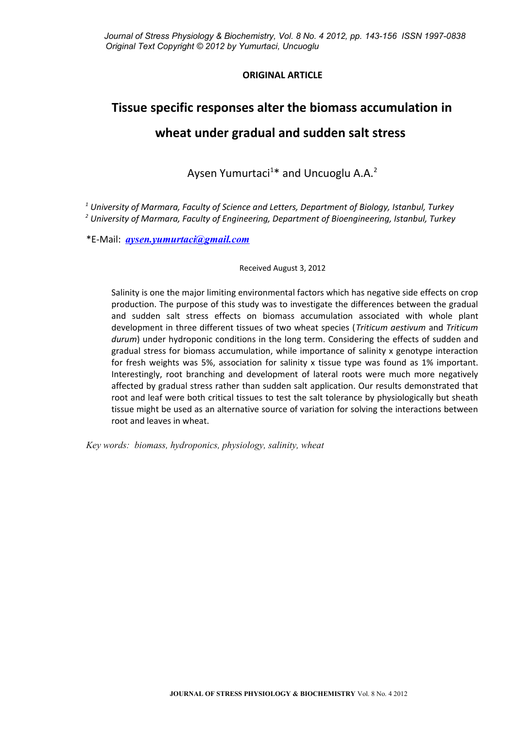# **ORIGINAL ARTICLE**

# **Tissue specific responses alter the biomass accumulation in wheat under gradual and sudden salt stress**

Aysen Yumurtaci<sup>1\*</sup> and Uncuoglu A.A.<sup>2</sup>

*1 University of Marmara, Faculty of Science and Letters, Department of Biology, Istanbul, Turkey 2 University of Marmara, Faculty of Engineering, Department of Bioengineering, Istanbul, Turkey*

\*E-Mail: *[aysen.yumurtaci@gmail.com](mailto:aysen.yumurtaci@gmail.com)*

Received August 3, 2012

Salinity is one the major limiting environmental factors which has negative side effects on crop production. The purpose of this study was to investigate the differences between the gradual and sudden salt stress effects on biomass accumulation associated with whole plant development in three different tissues of two wheat species (*Triticum aestivum* and *Triticum durum*) under hydroponic conditions in the long term. Considering the effects of sudden and gradual stress for biomass accumulation, while importance of salinity x genotype interaction for fresh weights was 5%, association for salinity x tissue type was found as 1% important. Interestingly, root branching and development of lateral roots were much more negatively affected by gradual stress rather than sudden salt application. Our results demonstrated that root and leaf were both critical tissues to test the salt tolerance by physiologically but sheath tissue might be used as an alternative source of variation for solving the interactions between root and leaves in wheat.

*Key words: biomass, hydroponics, physiology, salinity, wheat*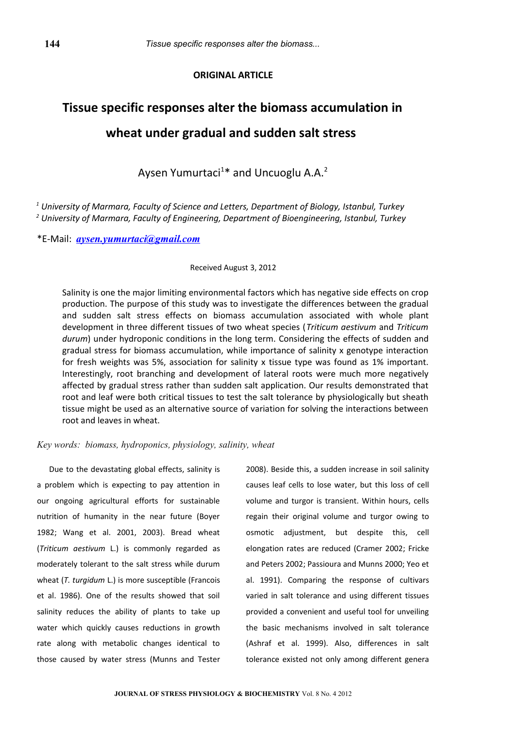# **ORIGINAL ARTICLE**

# **Tissue specific responses alter the biomass accumulation in wheat under gradual and sudden salt stress**

Aysen Yumurtaci<sup>1\*</sup> and Uncuoglu A.A.<sup>2</sup>

*1 University of Marmara, Faculty of Science and Letters, Department of Biology, Istanbul, Turkey 2 University of Marmara, Faculty of Engineering, Department of Bioengineering, Istanbul, Turkey*

\*E-Mail: *[aysen.yumurtaci@gmail.com](mailto:aysen.yumurtaci@gmail.com)*

#### Received August 3, 2012

Salinity is one the major limiting environmental factors which has negative side effects on crop production. The purpose of this study was to investigate the differences between the gradual and sudden salt stress effects on biomass accumulation associated with whole plant development in three different tissues of two wheat species (*Triticum aestivum* and *Triticum durum*) under hydroponic conditions in the long term. Considering the effects of sudden and gradual stress for biomass accumulation, while importance of salinity x genotype interaction for fresh weights was 5%, association for salinity x tissue type was found as 1% important. Interestingly, root branching and development of lateral roots were much more negatively affected by gradual stress rather than sudden salt application. Our results demonstrated that root and leaf were both critical tissues to test the salt tolerance by physiologically but sheath tissue might be used as an alternative source of variation for solving the interactions between root and leaves in wheat.

## *Key words: biomass, hydroponics, physiology, salinity, wheat*

Due to the devastating global effects, salinity is a problem which is expecting to pay attention in our ongoing agricultural efforts for sustainable nutrition of humanity in the near future (Boyer 1982; Wang et al. 2001, 2003). Bread wheat (*Triticum aestivum* L.) is commonly regarded as moderately tolerant to the salt stress while durum wheat (*T. turgidum* L.) is more susceptible (Francois et al. 1986). One of the results showed that soil salinity reduces the ability of plants to take up water which quickly causes reductions in growth rate along with metabolic changes identical to those caused by water stress (Munns and Tester 2008). Beside this, a sudden increase in soil salinity causes leaf cells to lose water, but this loss of cell volume and turgor is transient. Within hours, cells regain their original volume and turgor owing to osmotic adjustment, but despite this, cell elongation rates are reduced (Cramer 2002; Fricke and Peters 2002; Passioura and Munns 2000; Yeo et al. 1991). Comparing the response of cultivars varied in salt tolerance and using different tissues provided a convenient and useful tool for unveiling the basic mechanisms involved in salt tolerance (Ashraf et al. 1999). Also, differences in salt tolerance existed not only among different genera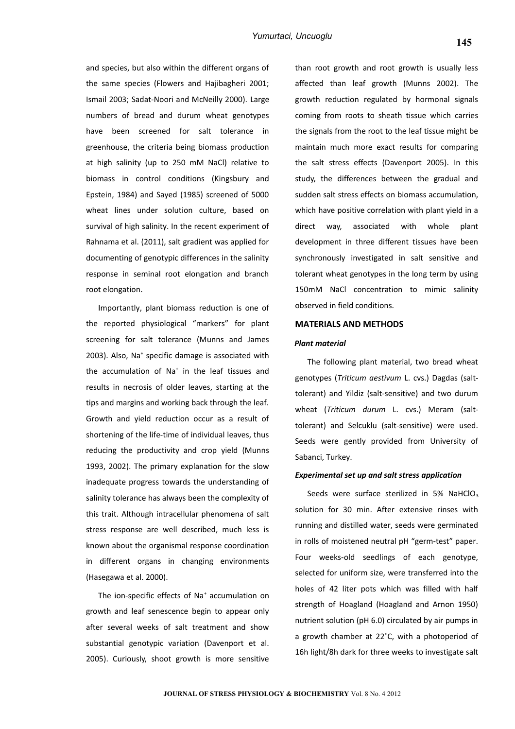and species, but also within the different organs of the same species (Flowers and Hajibagheri 2001; Ismail 2003; Sadat-Noori and McNeilly 2000). Large numbers of bread and durum wheat genotypes have been screened for salt tolerance in greenhouse, the criteria being biomass production at high salinity (up to 250 mM NaCl) relative to biomass in control conditions (Kingsbury and Epstein, 1984) and Sayed (1985) screened of 5000 wheat lines under solution culture, based on survival of high salinity. In the recent experiment of Rahnama et al. (2011), salt gradient was applied for documenting of genotypic differences in the salinity response in seminal root elongation and branch root elongation.

Importantly, plant biomass reduction is one of the reported physiological "markers" for plant screening for salt tolerance (Munns and James 2003). Also, Na<sup>+</sup> specific damage is associated with the accumulation of Na $^*$  in the leaf tissues and results in necrosis of older leaves, starting at the tips and margins and working back through the leaf. Growth and yield reduction occur as a result of shortening of the life-time of individual leaves, thus reducing the productivity and crop yield (Munns 1993, 2002). The primary explanation for the slow inadequate progress towards the understanding of salinity tolerance has always been the complexity of this trait. Although intracellular phenomena of salt stress response are well described, much less is known about the organismal response coordination in different organs in changing environments (Hasegawa et al. 2000).

The ion-specific effects of Na<sup>+</sup> accumulation on growth and leaf senescence begin to appear only after several weeks of salt treatment and show substantial genotypic variation (Davenport et al. 2005). Curiously, shoot growth is more sensitive than root growth and root growth is usually less affected than leaf growth (Munns 2002). The growth reduction regulated by hormonal signals coming from roots to sheath tissue which carries the signals from the root to the leaf tissue might be maintain much more exact results for comparing the salt stress effects (Davenport 2005). In this study, the differences between the gradual and sudden salt stress effects on biomass accumulation, which have positive correlation with plant yield in a direct way, associated with whole plant development in three different tissues have been synchronously investigated in salt sensitive and tolerant wheat genotypes in the long term by using 150mM NaCl concentration to mimic salinity observed in field conditions.

## **MATERIALS AND METHODS**

#### *Plant material*

The following plant material, two bread wheat genotypes (*Triticum aestivum* L. cvs.) Dagdas (salttolerant) and Yildiz (salt-sensitive) and two durum wheat (*Triticum durum* L. cvs.) Meram (salttolerant) and Selcuklu (salt-sensitive) were used. Seeds were gently provided from University of Sabanci, Turkey.

#### *Experimental set up and salt stress application*

Seeds were surface sterilized in 5% NaHClO<sub>3</sub> solution for 30 min. After extensive rinses with running and distilled water, seeds were germinated in rolls of moistened neutral pH "germ-test" paper. Four weeks-old seedlings of each genotype, selected for uniform size, were transferred into the holes of 42 liter pots which was filled with half strength of Hoagland (Hoagland and Arnon 1950) nutrient solution (pH 6.0) circulated by air pumps in a growth chamber at  $22^{\circ}$ C, with a photoperiod of 16h light/8h dark for three weeks to investigate salt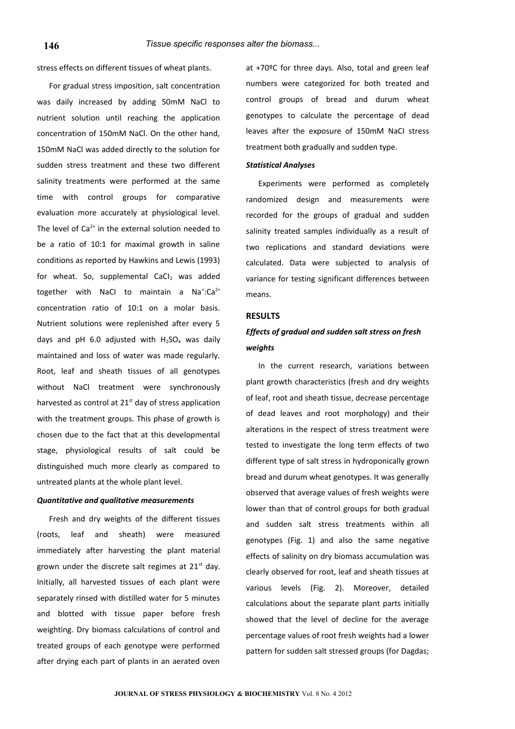stress effects on different tissues of wheat plants.

For gradual stress imposition, salt concentration was daily increased by adding 50mM NaCl to nutrient solution until reaching the application concentration of 150mM NaCl. On the other hand, 150mM NaCl was added directly to the solution for sudden stress treatment and these two different salinity treatments were performed at the same time with control groups for comparative evaluation more accurately at physiological level. The level of  $Ca<sup>2+</sup>$  in the external solution needed to be a ratio of 10:1 for maximal growth in saline conditions as reported by Hawkins and Lewis (1993) for wheat. So, supplemental  $CaCl<sub>2</sub>$  was added together with NaCI to maintain a Na<sup>+</sup>:Ca<sup>2+</sup> concentration ratio of 10:1 on a molar basis. Nutrient solutions were replenished after every 5 days and pH 6.0 adjusted with  $H_2SO_4$  was daily maintained and loss of water was made regularly. Root, leaf and sheath tissues of all genotypes without NaCl treatment were synchronously harvested as control at  $21<sup>st</sup>$  day of stress application with the treatment groups. This phase of growth is chosen due to the fact that at this developmental stage, physiological results of salt could be distinguished much more clearly as compared to untreated plants at the whole plant level.

#### *Quantitative and qualitative measurements*

Fresh and dry weights of the different tissues (roots, leaf and sheath) were measured immediately after harvesting the plant material grown under the discrete salt regimes at  $21<sup>st</sup>$  day. Initially, all harvested tissues of each plant were separately rinsed with distilled water for 5 minutes and blotted with tissue paper before fresh weighting. Dry biomass calculations of control and treated groups of each genotype were performed after drying each part of plants in an aerated oven

at +70ºC for three days. Also, total and green leaf numbers were categorized for both treated and control groups of bread and durum wheat genotypes to calculate the percentage of dead leaves after the exposure of 150mM NaCI stress treatment both gradually and sudden type.

## *Statistical Analyses*

Experiments were performed as completely randomized design and measurements were recorded for the groups of gradual and sudden salinity treated samples individually as a result of two replications and standard deviations were calculated. Data were subjected to analysis of variance for testing significant differences between means.

#### **RESULTS**

# *Effects of gradual and sudden salt stress on fresh weights*

In the current research, variations between plant growth characteristics (fresh and dry weights of leaf, root and sheath tissue, decrease percentage of dead leaves and root morphology) and their alterations in the respect of stress treatment were tested to investigate the long term effects of two different type of salt stress in hydroponically grown bread and durum wheat genotypes. It was generally observed that average values of fresh weights were lower than that of control groups for both gradual and sudden salt stress treatments within all genotypes (Fig. 1) and also the same negative effects of salinity on dry biomass accumulation was clearly observed for root, leaf and sheath tissues at various levels (Fig. 2). Moreover, detailed calculations about the separate plant parts initially showed that the level of decline for the average percentage values of root fresh weights had a lower pattern for sudden salt stressed groups (for Dagdas;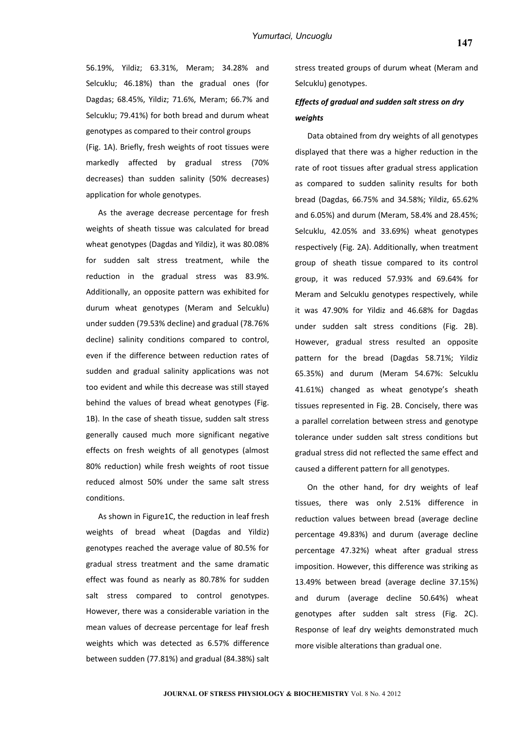56.19%, Yildiz; 63.31%, Meram; 34.28% and Selcuklu; 46.18%) than the gradual ones (for Dagdas; 68.45%, Yildiz; 71.6%, Meram; 66.7% and Selcuklu; 79.41%) for both bread and durum wheat genotypes as compared to their control groups (Fig. 1A). Briefly, fresh weights of root tissues were markedly affected by gradual stress (70% decreases) than sudden salinity (50% decreases) application for whole genotypes.

As the average decrease percentage for fresh weights of sheath tissue was calculated for bread wheat genotypes (Dagdas and Yildiz), it was 80.08% for sudden salt stress treatment, while the reduction in the gradual stress was 83.9%. Additionally, an opposite pattern was exhibited for durum wheat genotypes (Meram and Selcuklu) under sudden (79.53% decline) and gradual (78.76% decline) salinity conditions compared to control, even if the difference between reduction rates of sudden and gradual salinity applications was not too evident and while this decrease was still stayed behind the values of bread wheat genotypes (Fig. 1B). In the case of sheath tissue, sudden salt stress generally caused much more significant negative effects on fresh weights of all genotypes (almost 80% reduction) while fresh weights of root tissue reduced almost 50% under the same salt stress conditions.

As shown in Figure1C, the reduction in leaf fresh weights of bread wheat (Dagdas and Yildiz) genotypes reached the average value of 80.5% for gradual stress treatment and the same dramatic effect was found as nearly as 80.78% for sudden salt stress compared to control genotypes. However, there was a considerable variation in the mean values of decrease percentage for leaf fresh weights which was detected as 6.57% difference between sudden (77.81%) and gradual (84.38%) salt

stress treated groups of durum wheat (Meram and Selcuklu) genotypes.

# *Effects of gradual and sudden salt stress on dry weights*

Data obtained from dry weights of all genotypes displayed that there was a higher reduction in the rate of root tissues after gradual stress application as compared to sudden salinity results for both bread (Dagdas, 66.75% and 34.58%; Yildiz, 65.62% and 6.05%) and durum (Meram, 58.4% and 28.45%; Selcuklu, 42.05% and 33.69%) wheat genotypes respectively (Fig. 2A). Additionally, when treatment group of sheath tissue compared to its control group, it was reduced 57.93% and 69.64% for Meram and Selcuklu genotypes respectively, while it was 47.90% for Yildiz and 46.68% for Dagdas under sudden salt stress conditions (Fig. 2B). However, gradual stress resulted an opposite pattern for the bread (Dagdas 58.71%; Yildiz 65.35%) and durum (Meram 54.67%: Selcuklu 41.61%) changed as wheat genotype's sheath tissues represented in Fig. 2B. Concisely, there was a parallel correlation between stress and genotype tolerance under sudden salt stress conditions but gradual stress did not reflected the same effect and caused a different pattern for all genotypes.

On the other hand, for dry weights of leaf tissues, there was only 2.51% difference in reduction values between bread (average decline percentage 49.83%) and durum (average decline percentage 47.32%) wheat after gradual stress imposition. However, this difference was striking as 13.49% between bread (average decline 37.15%) and durum (average decline 50.64%) wheat genotypes after sudden salt stress (Fig. 2C). Response of leaf dry weights demonstrated much more visible alterations than gradual one.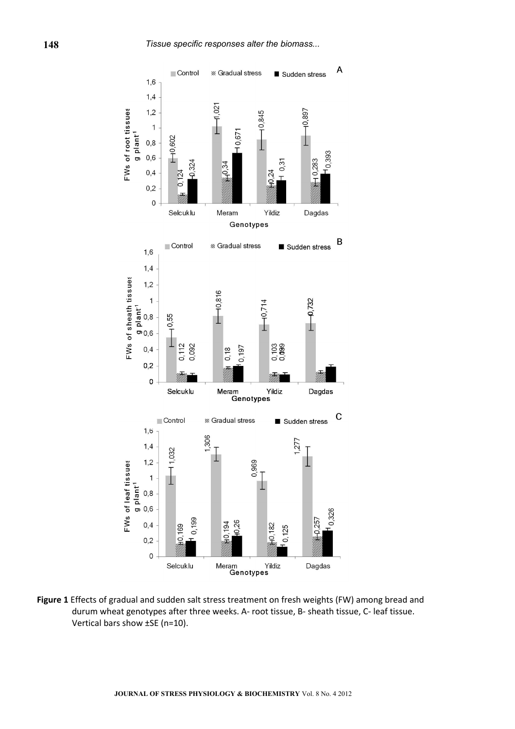

**Figure 1** Effects of gradual and sudden salt stress treatment on fresh weights (FW) among bread and durum wheat genotypes after three weeks. A- root tissue, B- sheath tissue, C- leaf tissue. Vertical bars show ±SE (n=10).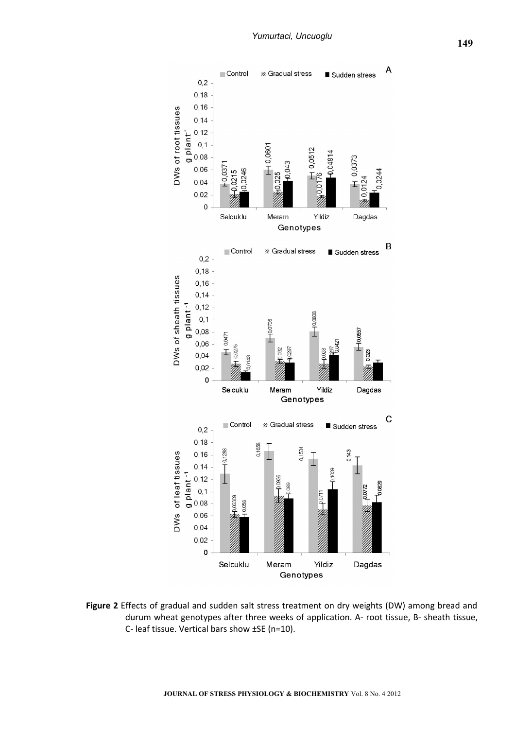

**Figure 2** Effects of gradual and sudden salt stress treatment on dry weights (DW) among bread and durum wheat genotypes after three weeks of application. A- root tissue, B- sheath tissue, C- leaf tissue. Vertical bars show ±SE (n=10).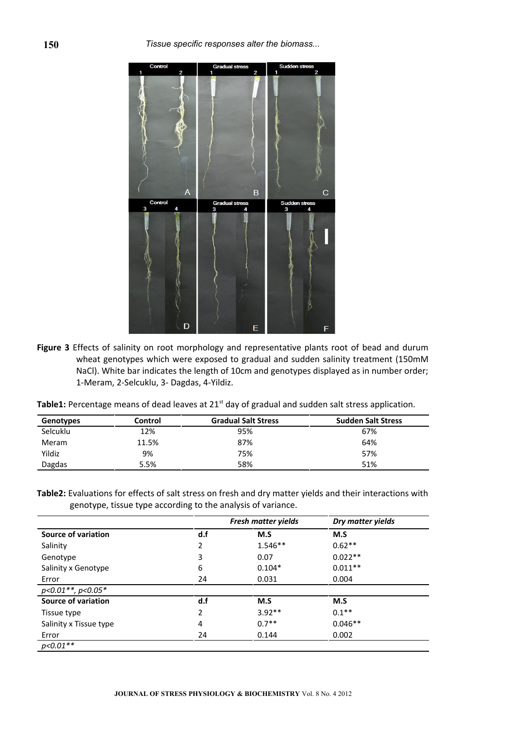

**Figure 3** Effects of salinity on root morphology and representative plants root of bead and durum wheat genotypes which were exposed to gradual and sudden salinity treatment (150mM NaCl). White bar indicates the length of 10cm and genotypes displayed as in number order; 1-Meram, 2-Selcuklu, 3- Dagdas, 4-Yildiz.

| <b>Table1:</b> Percentage means of dead leaves at 21 <sup>st</sup> day of gradual and sudden salt stress application. |  |  |  |  |
|-----------------------------------------------------------------------------------------------------------------------|--|--|--|--|
|-----------------------------------------------------------------------------------------------------------------------|--|--|--|--|

| Genotypes | Control | <b>Gradual Salt Stress</b> | <b>Sudden Salt Stress</b> |
|-----------|---------|----------------------------|---------------------------|
| Selcuklu  | 12%     | 95%                        | 67%                       |
| Meram     | 11.5%   | 87%                        | 64%                       |
| Yildiz    | 9%      | 75%                        | 57%                       |
| Dagdas    | 5.5%    | 58%                        | 51%                       |

**Table2:** Evaluations for effects of salt stress on fresh and dry matter yields and their interactions with genotype, tissue type according to the analysis of variance.

|                        | Fresh matter yields |           | Dry matter yields |  |
|------------------------|---------------------|-----------|-------------------|--|
| Source of variation    | d.f                 | M.S       | M.S               |  |
| Salinity               | 2                   | $1.546**$ | $0.62**$          |  |
| Genotype               | 3                   | 0.07      | $0.022**$         |  |
| Salinity x Genotype    | 6                   | $0.104*$  | $0.011**$         |  |
| Error                  | 24                  | 0.031     | 0.004             |  |
| $p<0.01**$ , $p<0.05*$ |                     |           |                   |  |
| Source of variation    | d.f                 | M.S       | M.S               |  |
| Tissue type            | 2                   | $3.92**$  | $0.1**$           |  |
| Salinity x Tissue type | 4                   | $0.7**$   | $0.046**$         |  |
| Error                  | 24                  | 0.144     | 0.002             |  |
| $p<0.01**$             |                     |           |                   |  |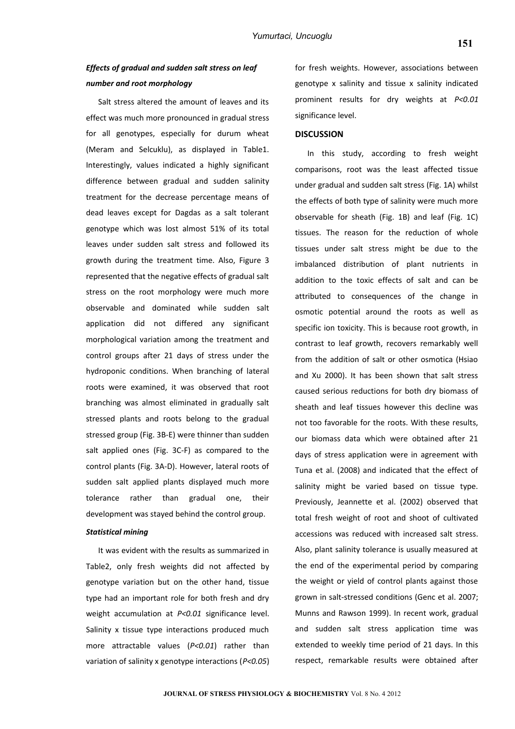# *Effects of gradual and sudden salt stress on leaf number and root morphology*

Salt stress altered the amount of leaves and its effect was much more pronounced in gradual stress for all genotypes, especially for durum wheat (Meram and Selcuklu), as displayed in Table1. Interestingly, values indicated a highly significant difference between gradual and sudden salinity treatment for the decrease percentage means of dead leaves except for Dagdas as a salt tolerant genotype which was lost almost 51% of its total leaves under sudden salt stress and followed its growth during the treatment time. Also, Figure 3 represented that the negative effects of gradual salt stress on the root morphology were much more observable and dominated while sudden salt application did not differed any significant morphological variation among the treatment and control groups after 21 days of stress under the hydroponic conditions. When branching of lateral roots were examined, it was observed that root branching was almost eliminated in gradually salt stressed plants and roots belong to the gradual stressed group (Fig. 3B-E) were thinner than sudden salt applied ones (Fig. 3C-F) as compared to the control plants (Fig. 3A-D). However, lateral roots of sudden salt applied plants displayed much more tolerance rather than gradual one, their development was stayed behind the control group.

## *Statistical mining*

It was evident with the results as summarized in Table2, only fresh weights did not affected by genotype variation but on the other hand, tissue type had an important role for both fresh and dry weight accumulation at *P<0.01* significance level. Salinity x tissue type interactions produced much more attractable values (*P<0.01*) rather than variation of salinity x genotype interactions (*P<0.05*)

for fresh weights. However, associations between genotype x salinity and tissue x salinity indicated prominent results for dry weights at *P<0.01* significance level.

### **DISCUSSION**

In this study, according to fresh weight comparisons, root was the least affected tissue under gradual and sudden salt stress (Fig. 1A) whilst the effects of both type of salinity were much more observable for sheath (Fig. 1B) and leaf (Fig. 1C) tissues. The reason for the reduction of whole tissues under salt stress might be due to the imbalanced distribution of plant nutrients in addition to the toxic effects of salt and can be attributed to consequences of the change in osmotic potential around the roots as well as specific ion toxicity. This is because root growth, in contrast to leaf growth, recovers remarkably well from the addition of salt or other osmotica (Hsiao and Xu 2000). It has been shown that salt stress caused serious reductions for both dry biomass of sheath and leaf tissues however this decline was not too favorable for the roots. With these results, our biomass data which were obtained after 21 days of stress application were in agreement with Tuna et al. (2008) and indicated that the effect of salinity might be varied based on tissue type. Previously, Jeannette et al. (2002) observed that total fresh weight of root and shoot of cultivated accessions was reduced with increased salt stress. Also, plant salinity tolerance is usually measured at the end of the experimental period by comparing the weight or yield of control plants against those grown in salt-stressed conditions (Genc et al. 2007; Munns and Rawson 1999). In recent work, gradual and sudden salt stress application time was extended to weekly time period of 21 days. In this respect, remarkable results were obtained after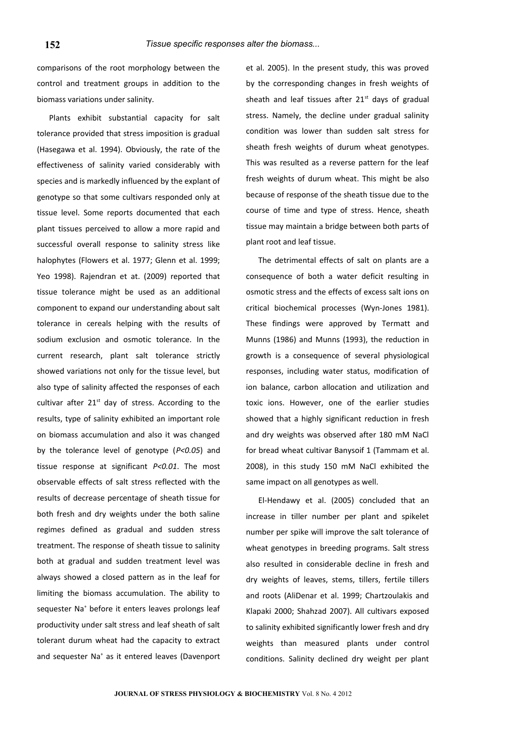comparisons of the root morphology between the control and treatment groups in addition to the biomass variations under salinity.

Plants exhibit substantial capacity for salt tolerance provided that stress imposition is gradual (Hasegawa et al. 1994). Obviously, the rate of the effectiveness of salinity varied considerably with species and is markedly influenced by the explant of genotype so that some cultivars responded only at tissue level. Some reports documented that each plant tissues perceived to allow a more rapid and successful overall response to salinity stress like halophytes (Flowers et al. 1977; Glenn et al. 1999; Yeo 1998). Rajendran et at. (2009) reported that tissue tolerance might be used as an additional component to expand our understanding about salt tolerance in cereals helping with the results of sodium exclusion and osmotic tolerance. In the current research, plant salt tolerance strictly showed variations not only for the tissue level, but also type of salinity affected the responses of each cultivar after  $21^{st}$  day of stress. According to the results, type of salinity exhibited an important role on biomass accumulation and also it was changed by the tolerance level of genotype (*P<0.05*) and tissue response at significant *P<0.01*. The most observable effects of salt stress reflected with the results of decrease percentage of sheath tissue for both fresh and dry weights under the both saline regimes defined as gradual and sudden stress treatment. The response of sheath tissue to salinity both at gradual and sudden treatment level was always showed a closed pattern as in the leaf for limiting the biomass accumulation. The ability to sequester Na<sup>+</sup> before it enters leaves prolongs leaf productivity under salt stress and leaf sheath of salt tolerant durum wheat had the capacity to extract and sequester Na<sup>+</sup> as it entered leaves (Davenport

et al. 2005). In the present study, this was proved by the corresponding changes in fresh weights of sheath and leaf tissues after  $21<sup>st</sup>$  days of gradual stress. Namely, the decline under gradual salinity condition was lower than sudden salt stress for sheath fresh weights of durum wheat genotypes. This was resulted as a reverse pattern for the leaf fresh weights of durum wheat. This might be also because of response of the sheath tissue due to the course of time and type of stress. Hence, sheath tissue may maintain a bridge between both parts of plant root and leaf tissue.

The detrimental effects of salt on plants are a consequence of both a water deficit resulting in osmotic stress and the effects of excess salt ions on critical biochemical processes (Wyn-Jones 1981). These findings were approved by Termatt and Munns (1986) and Munns (1993), the reduction in growth is a consequence of several physiological responses, including water status, modification of ion balance, carbon allocation and utilization and toxic ions. However, one of the earlier studies showed that a highly significant reduction in fresh and dry weights was observed after 180 mM NaCl for bread wheat cultivar Banysoif 1 (Tammam et al. 2008), in this study 150 mM NaCl exhibited the same impact on all genotypes as well.

El-Hendawy et al. (2005) concluded that an increase in tiller number per plant and spikelet number per spike will improve the salt tolerance of wheat genotypes in breeding programs. Salt stress also resulted in considerable decline in fresh and dry weights of leaves, stems, tillers, fertile tillers and roots (AliDenar et al. 1999; Chartzoulakis and Klapaki 2000; Shahzad 2007). All cultivars exposed to salinity exhibited significantly lower fresh and dry weights than measured plants under control conditions. Salinity declined dry weight per plant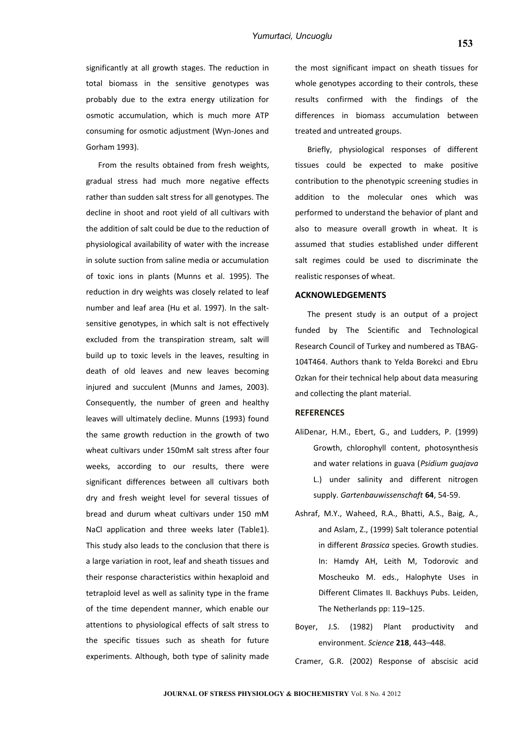significantly at all growth stages. The reduction in total biomass in the sensitive genotypes was probably due to the extra energy utilization for osmotic accumulation, which is much more ATP consuming for osmotic adjustment (Wyn-Jones and Gorham 1993).

From the results obtained from fresh weights, gradual stress had much more negative effects rather than sudden salt stress for all genotypes. The decline in shoot and root yield of all cultivars with the addition of salt could be due to the reduction of physiological availability of water with the increase in solute suction from saline media or accumulation of toxic ions in plants (Munns et al. 1995). The reduction in dry weights was closely related to leaf number and leaf area (Hu et al. 1997). In the saltsensitive genotypes, in which salt is not effectively excluded from the transpiration stream, salt will build up to toxic levels in the leaves, resulting in death of old leaves and new leaves becoming injured and succulent (Munns and James, 2003). Consequently, the number of green and healthy leaves will ultimately decline. Munns (1993) found the same growth reduction in the growth of two wheat cultivars under 150mM salt stress after four weeks, according to our results, there were significant differences between all cultivars both dry and fresh weight level for several tissues of bread and durum wheat cultivars under 150 mM NaCl application and three weeks later (Table1). This study also leads to the conclusion that there is a large variation in root, leaf and sheath tissues and their response characteristics within hexaploid and tetraploid level as well as salinity type in the frame of the time dependent manner, which enable our attentions to physiological effects of salt stress to the specific tissues such as sheath for future experiments. Although, both type of salinity made

the most significant impact on sheath tissues for whole genotypes according to their controls, these results confirmed with the findings of the differences in biomass accumulation between treated and untreated groups.

Briefly, physiological responses of different tissues could be expected to make positive contribution to the phenotypic screening studies in addition to the molecular ones which was performed to understand the behavior of plant and also to measure overall growth in wheat. It is assumed that studies established under different salt regimes could be used to discriminate the realistic responses of wheat.

## **ACKNOWLEDGEMENTS**

The present study is an output of a project funded by The Scientific and Technological Research Council of Turkey and numbered as TBAG-104T464. Authors thank to Yelda Borekci and Ebru Ozkan for their technical help about data measuring and collecting the plant material.

### **REFERENCES**

- AliDenar, H.M., Ebert, G., and Ludders, P. (1999) Growth, chlorophyll content, photosynthesis and water relations in guava (*Psidium guajava* L.) under salinity and different nitrogen supply. *Gartenbauwissenschaft* **64**, 54-59.
- Ashraf, M.Y., Waheed, R.A., Bhatti, A.S., Baig, A., and Aslam, Z., (1999) Salt tolerance potential in different *Brassica* species. Growth studies. In: Hamdy AH, Leith M, Todorovic and Moscheuko M. eds., Halophyte Uses in Different Climates II. Backhuys Pubs. Leiden, The Netherlands pp: 119–125.
- Boyer, J.S. (1982) Plant productivity and environment. *Science* **218**, 443–448.

Cramer, G.R. (2002) Response of abscisic acid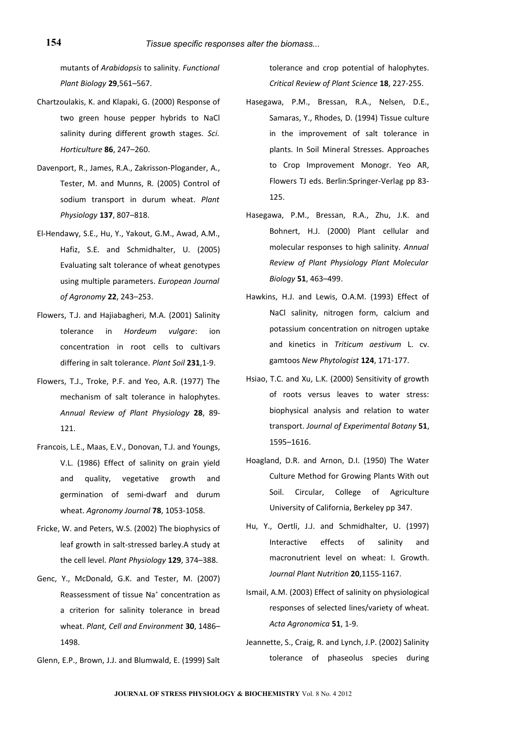mutants of *Arabidopsis* to salinity. *Functional Plant Biology* **29**,561–567.

- Chartzoulakis, K. and Klapaki, G. (2000) Response of two green house pepper hybrids to NaCl salinity during different growth stages. *Sci. Horticulture* **86**, 247–260.
- Davenport, R., James, R.A., Zakrisson-Plogander, A., Tester, M. and Munns, R. (2005) Control of sodium transport in durum wheat. *Plant Physiology* **137**, 807–818.
- El-Hendawy, S.E., Hu, Y., Yakout, G.M., Awad, A.M., Hafiz, S.E. and Schmidhalter, U. (2005) Evaluating salt tolerance of wheat genotypes using multiple parameters. *European Journal of Agronomy* **22**, 243–253.
- Flowers, T.J. and Hajiabagheri, M.A. (2001) Salinity tolerance in *Hordeum vulgare*: ion concentration in root cells to cultivars differing in salt tolerance. *Plant Soil* **231**,1-9.
- Flowers, T.J., Troke, P.F. and Yeo, A.R. (1977) The mechanism of salt tolerance in halophytes. *Annual Review of Plant Physiology* **28**, 89- 121.
- Francois, L.E., Maas, E.V., Donovan, T.J. and Youngs, V.L. (1986) Effect of salinity on grain yield and quality, vegetative growth and germination of semi-dwarf and durum wheat. *Agronomy Journal* **78**, 1053-1058.
- Fricke, W. and Peters, W.S. (2002) The biophysics of leaf growth in salt-stressed barley.A study at the cell level. *Plant Physiology* **129**, 374–388.
- Genc, Y., McDonald, G.K. and Tester, M. (2007) Reassessment of tissue Na<sup>+</sup> concentration as a criterion for salinity tolerance in bread wheat. *Plant, Cell and Environment* **30**, 1486– 1498.
- Glenn, E.P., Brown, J.J. and Blumwald, E. (1999) Salt

tolerance and crop potential of halophytes. *Critical Review of Plant Science* **18**, 227-255.

- Hasegawa, P.M., Bressan, R.A., Nelsen, D.E., Samaras, Y., Rhodes, D. (1994) Tissue culture in the improvement of salt tolerance in plants. In Soil Mineral Stresses. Approaches to Crop Improvement Monogr. Yeo AR, Flowers TJ eds. Berlin:Springer-Verlag pp 83- 125.
- Hasegawa, P.M., Bressan, R.A., Zhu, J.K. and Bohnert, H.J. (2000) Plant cellular and molecular responses to high salinity. *Annual Review of Plant Physiology Plant Molecular Biology* **51**, 463–499.
- Hawkins, H.J. and Lewis, O.A.M. (1993) Effect of NaCl salinity, nitrogen form, calcium and potassium concentration on nitrogen uptake and kinetics in *Triticum aestivum* L. cv. gamtoos *New Phytologist* **124**, 171-177.
- Hsiao, T.C. and Xu, L.K. (2000) Sensitivity of growth of roots versus leaves to water stress: biophysical analysis and relation to water transport. *Journal of Experimental Botany* **51**, 1595–1616.
- Hoagland, D.R. and Arnon, D.I. (1950) The Water Culture Method for Growing Plants With out Soil. Circular, College of Agriculture University of California, Berkeley pp 347.
- Hu, Y., Oertli, J.J. and Schmidhalter, U. (1997) Interactive effects of salinity and macronutrient level on wheat: I. Growth. *Journal Plant Nutrition* **20**,1155-1167.
- Ismail, A.M. (2003) Effect of salinity on physiological responses of selected lines/variety of wheat. *Acta Agronomica* **51**, 1-9.
- Jeannette, S., Craig, R. and Lynch, J.P. (2002) Salinity tolerance of phaseolus species during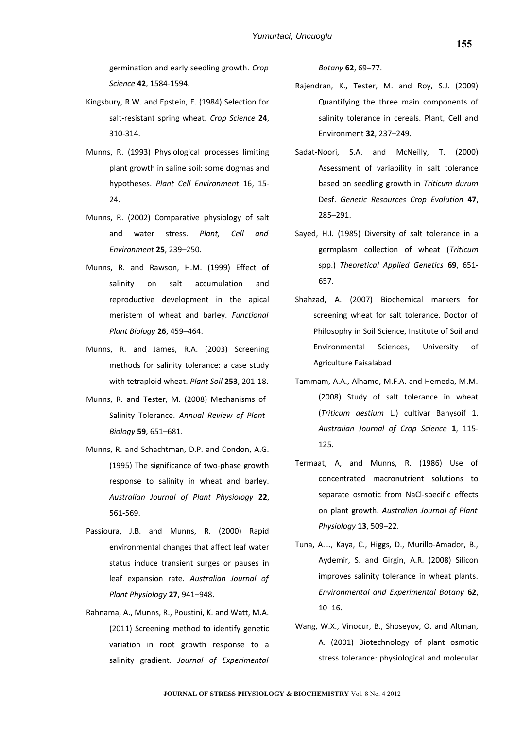germination and early seedling growth. *Crop Science* **42**, 1584-1594.

- Kingsbury, R.W. and Epstein, E. (1984) Selection for salt-resistant spring wheat. *Crop Science* **24**, 310-314.
- Munns, R. (1993) Physiological processes limiting plant growth in saline soil: some dogmas and hypotheses. *Plant Cell Environment* 16, 15- 24.
- Munns, R. (2002) Comparative physiology of salt and water stress. *Plant, Cell and Environment* **25**, 239–250.
- Munns, R. and Rawson, H.M. (1999) Effect of salinity on salt accumulation and reproductive development in the apical meristem of wheat and barley. *Functional Plant Biology* **26**, 459–464.
- Munns, R. and James, R.A. (2003) Screening methods for salinity tolerance: a case study with tetraploid wheat. *Plant Soil* **253**, 201-18.
- Munns, R. and Tester, M. (2008) Mechanisms of Salinity Tolerance. *Annual Review of Plant Biology* **59**, 651–681.
- Munns, R. and Schachtman, D.P. and Condon, A.G. (1995) The significance of two-phase growth response to salinity in wheat and barley. *Australian Journal of Plant Physiology* **22**, 561-569.
- Passioura, J.B. and Munns, R. (2000) Rapid environmental changes that affect leaf water status induce transient surges or pauses in leaf expansion rate. *Australian Journal of Plant Physiology* **27**, 941–948.
- Rahnama, A., Munns, R., Poustini, K. and Watt, M.A. (2011) Screening method to identify genetic variation in root growth response to a salinity gradient. *Journal of Experimental*

*Botany* **62**, 69–77.

- Rajendran, K., Tester, M. and Roy, S.J. (2009) Quantifying the three main components of salinity tolerance in cereals. Plant, Cell and Environment **32**, 237–249.
- Sadat-Noori, S.A. and McNeilly, T. (2000) Assessment of variability in salt tolerance based on seedling growth in *Triticum durum* Desf. *Genetic Resources Crop Evolution* **47**, 285–291.
- Sayed, H.I. (1985) Diversity of salt tolerance in a germplasm collection of wheat (*Triticum* spp.) *Theoretical Applied Genetics* **69**, 651- 657.
- Shahzad, A. (2007) Biochemical markers for screening wheat for salt tolerance. Doctor of Philosophy in Soil Science, Institute of Soil and Environmental Sciences, University of Agriculture Faisalabad
- Tammam, A.A., Alhamd, M.F.A. and Hemeda, M.M. (2008) Study of salt tolerance in wheat (*Triticum aestium* L.) cultivar Banysoif 1. *Australian Journal of Crop Science* **1**, 115- 125.
- Termaat, A, and Munns, R. (1986) Use of concentrated macronutrient solutions to separate osmotic from NaCl-specific effects on plant growth. *Australian Journal of Plant Physiology* **13**, 509–22.
- Tuna, A.L., Kaya, C., Higgs, D., Murillo-Amador, B., Aydemir, S. and Girgin, A.R. (2008) Silicon improves salinity tolerance in wheat plants. *Environmental and Experimental Botany* **62**, 10–16.
- Wang, W.X., Vinocur, B., Shoseyov, O. and Altman, A. (2001) Biotechnology of plant osmotic stress tolerance: physiological and molecular